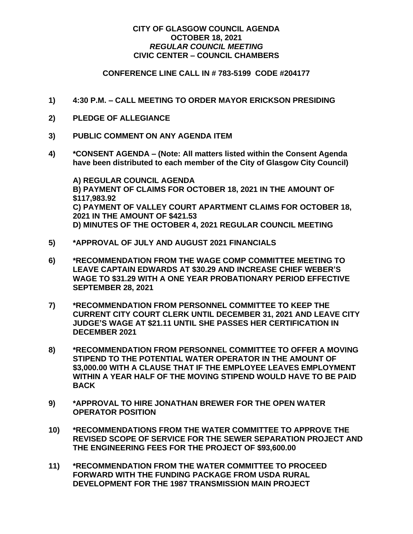## **CITY OF GLASGOW COUNCIL AGENDA OCTOBER 18, 2021** *REGULAR COUNCIL MEETING* **CIVIC CENTER – COUNCIL CHAMBERS**

## **CONFERENCE LINE CALL IN # 783-5199 CODE #204177**

- **1) 4:30 P.M. – CALL MEETING TO ORDER MAYOR ERICKSON PRESIDING**
- **2) PLEDGE OF ALLEGIANCE**
- **3) PUBLIC COMMENT ON ANY AGENDA ITEM**
- **4) \*CONSENT AGENDA – (Note: All matters listed within the Consent Agenda have been distributed to each member of the City of Glasgow City Council)**

**A) REGULAR COUNCIL AGENDA B) PAYMENT OF CLAIMS FOR OCTOBER 18, 2021 IN THE AMOUNT OF \$117,983.92 C) PAYMENT OF VALLEY COURT APARTMENT CLAIMS FOR OCTOBER 18, 2021 IN THE AMOUNT OF \$421.53 D) MINUTES OF THE OCTOBER 4, 2021 REGULAR COUNCIL MEETING**

- **5) \*APPROVAL OF JULY AND AUGUST 2021 FINANCIALS**
- **6) \*RECOMMENDATION FROM THE WAGE COMP COMMITTEE MEETING TO LEAVE CAPTAIN EDWARDS AT \$30.29 AND INCREASE CHIEF WEBER'S WAGE TO \$31.29 WITH A ONE YEAR PROBATIONARY PERIOD EFFECTIVE SEPTEMBER 28, 2021**
- **7) \*RECOMMENDATION FROM PERSONNEL COMMITTEE TO KEEP THE CURRENT CITY COURT CLERK UNTIL DECEMBER 31, 2021 AND LEAVE CITY JUDGE'S WAGE AT \$21.11 UNTIL SHE PASSES HER CERTIFICATION IN DECEMBER 2021**
- **8) \*RECOMMENDATION FROM PERSONNEL COMMITTEE TO OFFER A MOVING STIPEND TO THE POTENTIAL WATER OPERATOR IN THE AMOUNT OF \$3,000.00 WITH A CLAUSE THAT IF THE EMPLOYEE LEAVES EMPLOYMENT WITHIN A YEAR HALF OF THE MOVING STIPEND WOULD HAVE TO BE PAID BACK**
- **9) \*APPROVAL TO HIRE JONATHAN BREWER FOR THE OPEN WATER OPERATOR POSITION**
- **10) \*RECOMMENDATIONS FROM THE WATER COMMITTEE TO APPROVE THE REVISED SCOPE OF SERVICE FOR THE SEWER SEPARATION PROJECT AND THE ENGINEERING FEES FOR THE PROJECT OF \$93,600.00**
- **11) \*RECOMMENDATION FROM THE WATER COMMITTEE TO PROCEED FORWARD WITH THE FUNDING PACKAGE FROM USDA RURAL DEVELOPMENT FOR THE 1987 TRANSMISSION MAIN PROJECT**